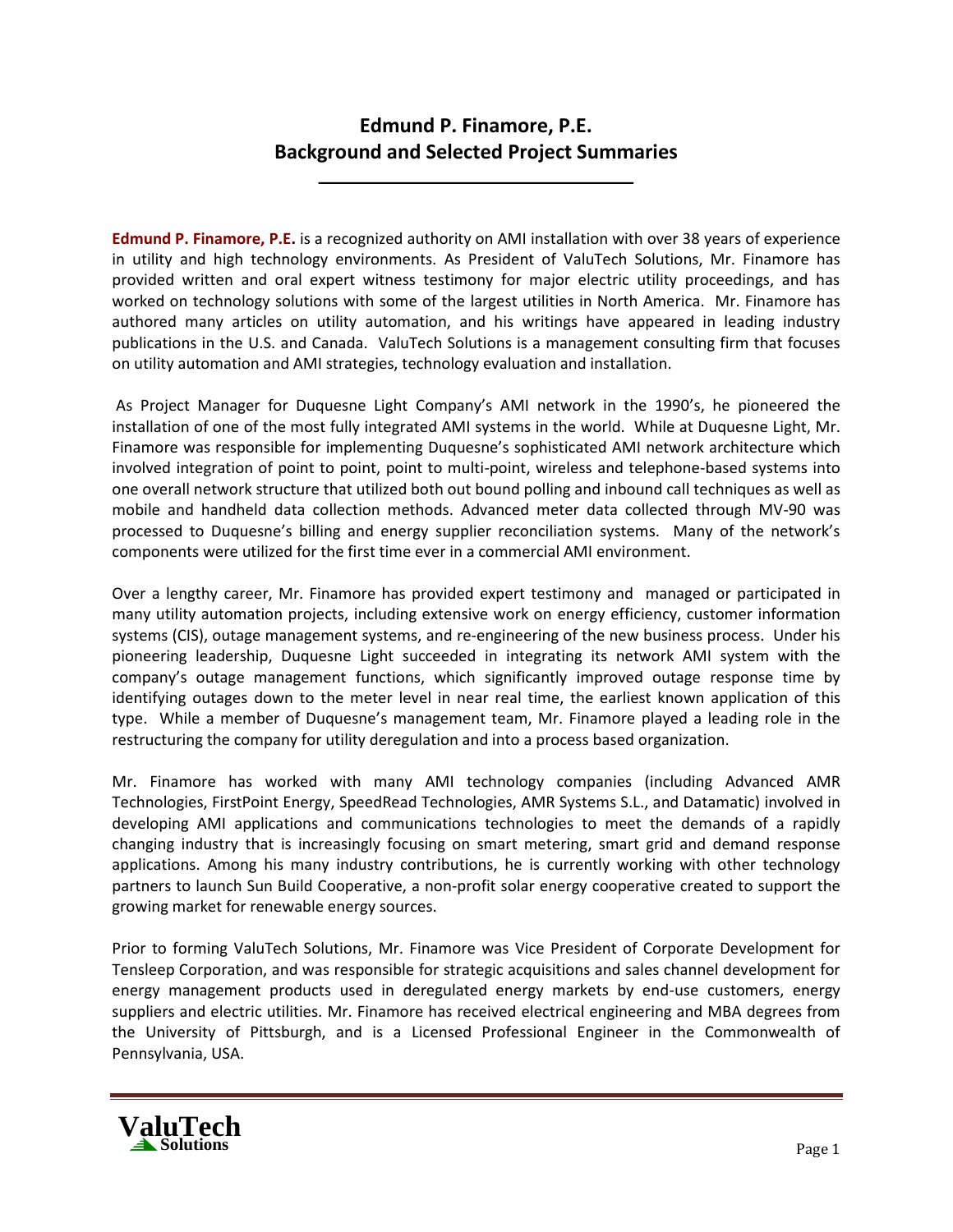# **Edmund P. Finamore, P.E. Background and Selected Project Summaries**

**\_\_\_\_\_\_\_\_\_\_\_\_\_\_\_\_\_\_\_\_\_\_\_\_\_\_\_\_\_\_\_\_\_\_\_\_\_**

**Edmund P. Finamore, P.E.** is a recognized authority on AMI installation with over 38 years of experience in utility and high technology environments. As President of ValuTech Solutions, Mr. Finamore has provided written and oral expert witness testimony for major electric utility proceedings, and has worked on technology solutions with some of the largest utilities in North America. Mr. Finamore has authored many articles on utility automation, and his writings have appeared in leading industry publications in the U.S. and Canada. ValuTech Solutions is a management consulting firm that focuses on utility automation and AMI strategies, technology evaluation and installation.

As Project Manager for Duquesne Light Company's AMI network in the 1990's, he pioneered the installation of one of the most fully integrated AMI systems in the world. While at Duquesne Light, Mr. Finamore was responsible for implementing Duquesne's sophisticated AMI network architecture which involved integration of point to point, point to multi-point, wireless and telephone-based systems into one overall network structure that utilized both out bound polling and inbound call techniques as well as mobile and handheld data collection methods. Advanced meter data collected through MV-90 was processed to Duquesne's billing and energy supplier reconciliation systems. Many of the network's components were utilized for the first time ever in a commercial AMI environment.

Over a lengthy career, Mr. Finamore has provided expert testimony and managed or participated in many utility automation projects, including extensive work on energy efficiency, customer information systems (CIS), outage management systems, and re-engineering of the new business process. Under his pioneering leadership, Duquesne Light succeeded in integrating its network AMI system with the company's outage management functions, which significantly improved outage response time by identifying outages down to the meter level in near real time, the earliest known application of this type. While a member of Duquesne's management team, Mr. Finamore played a leading role in the restructuring the company for utility deregulation and into a process based organization.

Mr. Finamore has worked with many AMI technology companies (including Advanced AMR Technologies, FirstPoint Energy, SpeedRead Technologies, AMR Systems S.L., and Datamatic) involved in developing AMI applications and communications technologies to meet the demands of a rapidly changing industry that is increasingly focusing on smart metering, smart grid and demand response applications. Among his many industry contributions, he is currently working with other technology partners to launch Sun Build Cooperative, a non-profit solar energy cooperative created to support the growing market for renewable energy sources.

Prior to forming ValuTech Solutions, Mr. Finamore was Vice President of Corporate Development for Tensleep Corporation, and was responsible for strategic acquisitions and sales channel development for energy management products used in deregulated energy markets by end-use customers, energy suppliers and electric utilities. Mr. Finamore has received electrical engineering and MBA degrees from the University of Pittsburgh, and is a Licensed Professional Engineer in the Commonwealth of Pennsylvania, USA.

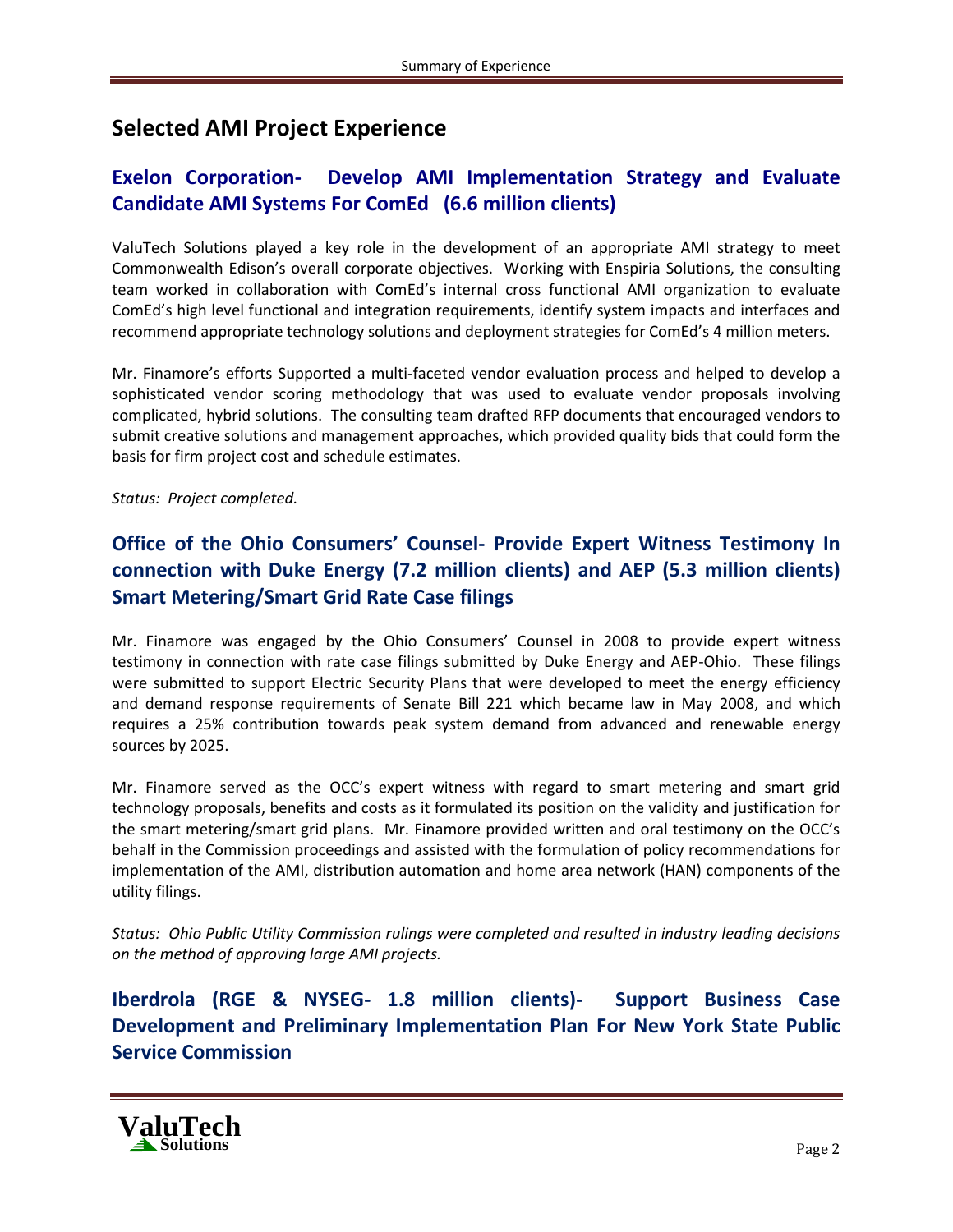# **Selected AMI Project Experience**

### **Exelon Corporation- Develop AMI Implementation Strategy and Evaluate Candidate AMI Systems For ComEd (6.6 million clients)**

ValuTech Solutions played a key role in the development of an appropriate AMI strategy to meet Commonwealth Edison's overall corporate objectives. Working with Enspiria Solutions, the consulting team worked in collaboration with ComEd's internal cross functional AMI organization to evaluate ComEd's high level functional and integration requirements, identify system impacts and interfaces and recommend appropriate technology solutions and deployment strategies for ComEd's 4 million meters.

Mr. Finamore's efforts Supported a multi-faceted vendor evaluation process and helped to develop a sophisticated vendor scoring methodology that was used to evaluate vendor proposals involving complicated, hybrid solutions. The consulting team drafted RFP documents that encouraged vendors to submit creative solutions and management approaches, which provided quality bids that could form the basis for firm project cost and schedule estimates.

*Status: Project completed.*

# **Office of the Ohio Consumers' Counsel- Provide Expert Witness Testimony In connection with Duke Energy (7.2 million clients) and AEP (5.3 million clients) Smart Metering/Smart Grid Rate Case filings**

Mr. Finamore was engaged by the Ohio Consumers' Counsel in 2008 to provide expert witness testimony in connection with rate case filings submitted by Duke Energy and AEP-Ohio. These filings were submitted to support Electric Security Plans that were developed to meet the energy efficiency and demand response requirements of Senate Bill 221 which became law in May 2008, and which requires a 25% contribution towards peak system demand from advanced and renewable energy sources by 2025.

Mr. Finamore served as the OCC's expert witness with regard to smart metering and smart grid technology proposals, benefits and costs as it formulated its position on the validity and justification for the smart metering/smart grid plans. Mr. Finamore provided written and oral testimony on the OCC's behalf in the Commission proceedings and assisted with the formulation of policy recommendations for implementation of the AMI, distribution automation and home area network (HAN) components of the utility filings.

*Status: Ohio Public Utility Commission rulings were completed and resulted in industry leading decisions on the method of approving large AMI projects.*

### **Iberdrola (RGE & NYSEG- 1.8 million clients)- Support Business Case Development and Preliminary Implementation Plan For New York State Public Service Commission**

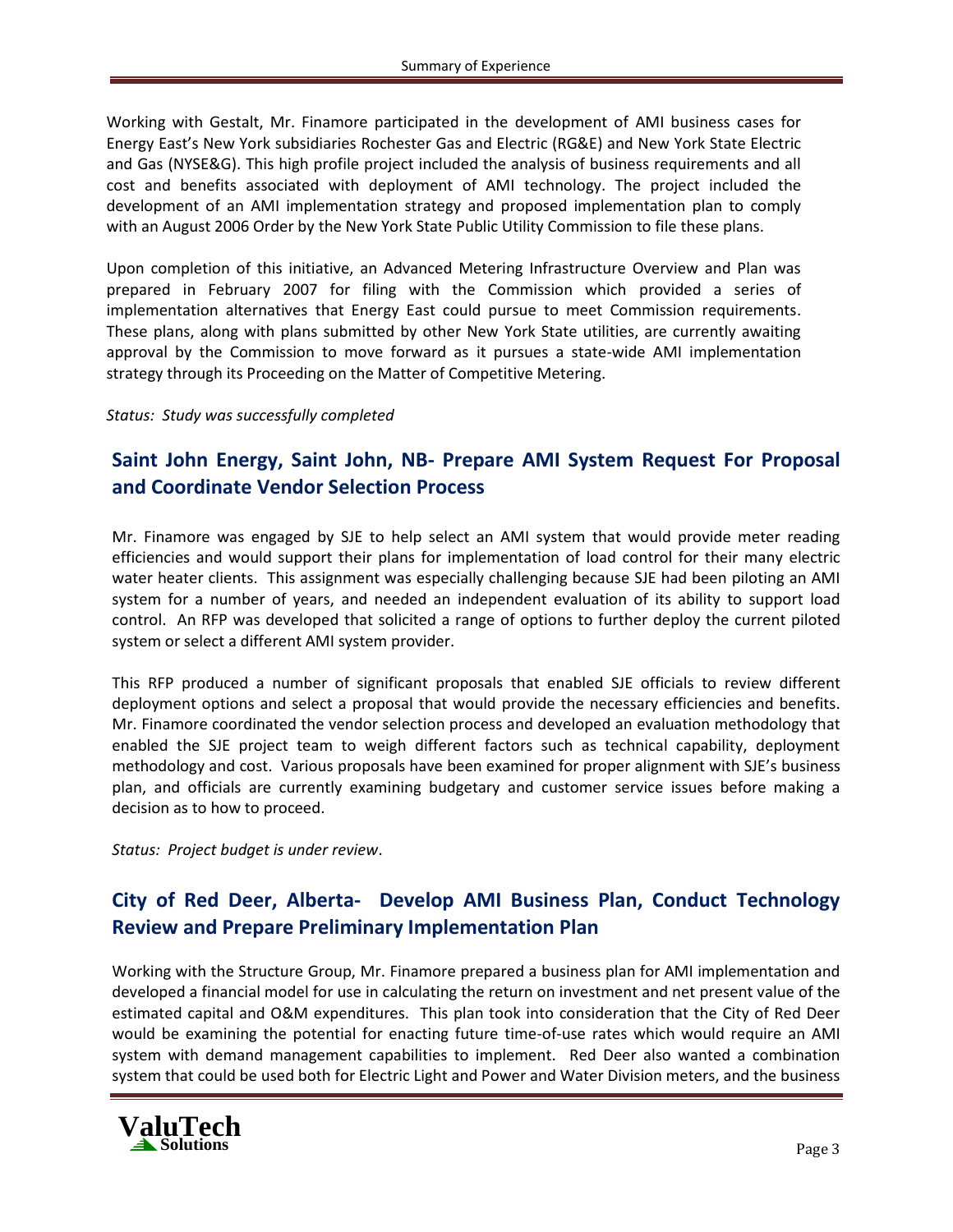Working with Gestalt, Mr. Finamore participated in the development of AMI business cases for Energy East's New York subsidiaries Rochester Gas and Electric (RG&E) and New York State Electric and Gas (NYSE&G). This high profile project included the analysis of business requirements and all cost and benefits associated with deployment of AMI technology. The project included the development of an AMI implementation strategy and proposed implementation plan to comply with an August 2006 Order by the New York State Public Utility Commission to file these plans.

Upon completion of this initiative, an Advanced Metering Infrastructure Overview and Plan was prepared in February 2007 for filing with the Commission which provided a series of implementation alternatives that Energy East could pursue to meet Commission requirements. These plans, along with plans submitted by other New York State utilities, are currently awaiting approval by the Commission to move forward as it pursues a state-wide AMI implementation strategy through its Proceeding on the Matter of Competitive Metering.

*Status: Study was successfully completed* 

### **Saint John Energy, Saint John, NB- Prepare AMI System Request For Proposal and Coordinate Vendor Selection Process**

Mr. Finamore was engaged by SJE to help select an AMI system that would provide meter reading efficiencies and would support their plans for implementation of load control for their many electric water heater clients. This assignment was especially challenging because SJE had been piloting an AMI system for a number of years, and needed an independent evaluation of its ability to support load control. An RFP was developed that solicited a range of options to further deploy the current piloted system or select a different AMI system provider.

This RFP produced a number of significant proposals that enabled SJE officials to review different deployment options and select a proposal that would provide the necessary efficiencies and benefits. Mr. Finamore coordinated the vendor selection process and developed an evaluation methodology that enabled the SJE project team to weigh different factors such as technical capability, deployment methodology and cost. Various proposals have been examined for proper alignment with SJE's business plan, and officials are currently examining budgetary and customer service issues before making a decision as to how to proceed.

*Status: Project budget is under review*.

#### **City of Red Deer, Alberta- Develop AMI Business Plan, Conduct Technology Review and Prepare Preliminary Implementation Plan**

Working with the Structure Group, Mr. Finamore prepared a business plan for AMI implementation and developed a financial model for use in calculating the return on investment and net present value of the estimated capital and O&M expenditures. This plan took into consideration that the City of Red Deer would be examining the potential for enacting future time-of-use rates which would require an AMI system with demand management capabilities to implement. Red Deer also wanted a combination system that could be used both for Electric Light and Power and Water Division meters, and the business

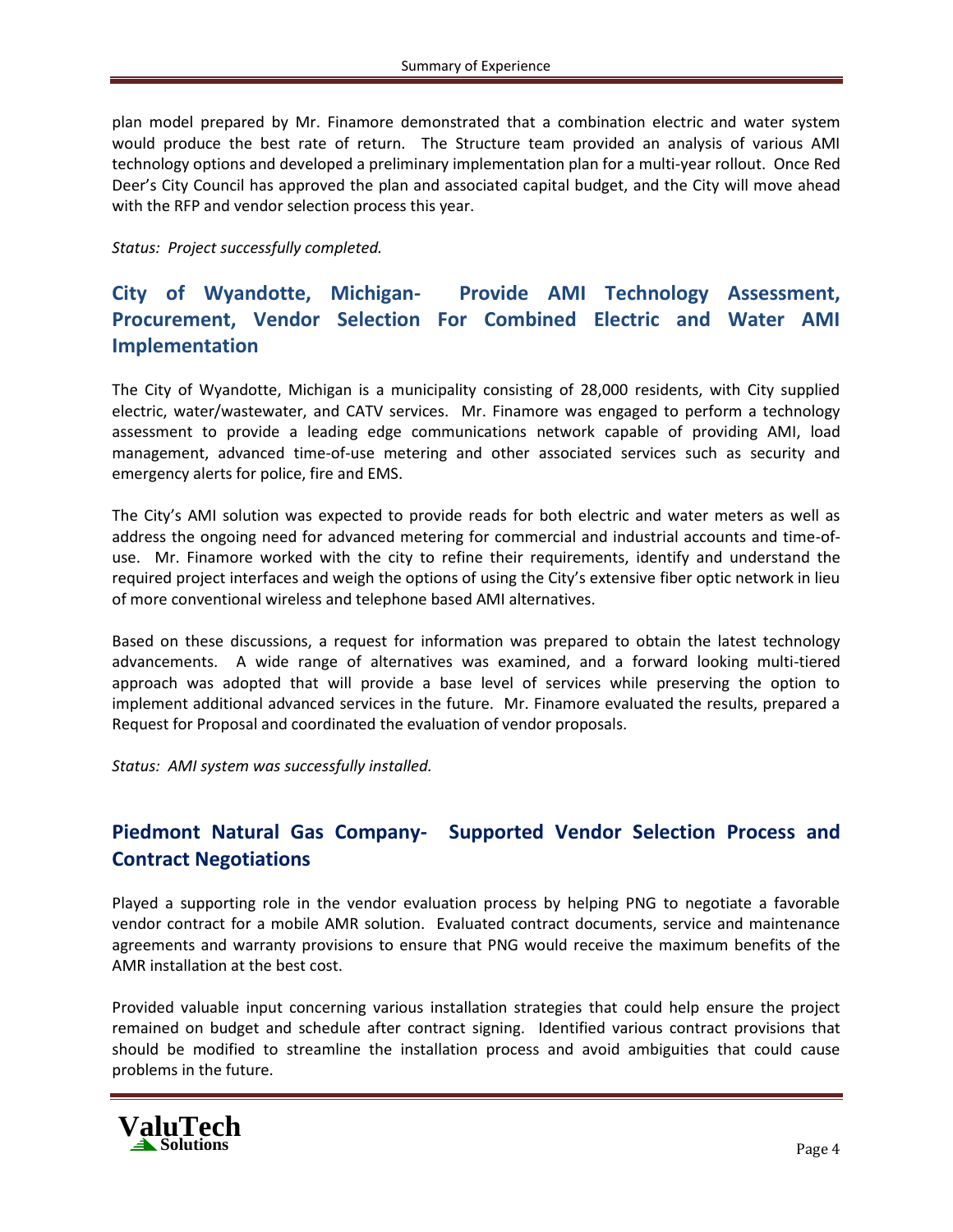plan model prepared by Mr. Finamore demonstrated that a combination electric and water system would produce the best rate of return. The Structure team provided an analysis of various AMI technology options and developed a preliminary implementation plan for a multi-year rollout. Once Red Deer's City Council has approved the plan and associated capital budget, and the City will move ahead with the RFP and vendor selection process this year.

*Status: Project successfully completed.*

# **City of Wyandotte, Michigan- Provide AMI Technology Assessment, Procurement, Vendor Selection For Combined Electric and Water AMI Implementation**

The City of Wyandotte, Michigan is a municipality consisting of 28,000 residents, with City supplied electric, water/wastewater, and CATV services. Mr. Finamore was engaged to perform a technology assessment to provide a leading edge communications network capable of providing AMI, load management, advanced time-of-use metering and other associated services such as security and emergency alerts for police, fire and EMS.

The City's AMI solution was expected to provide reads for both electric and water meters as well as address the ongoing need for advanced metering for commercial and industrial accounts and time-ofuse. Mr. Finamore worked with the city to refine their requirements, identify and understand the required project interfaces and weigh the options of using the City's extensive fiber optic network in lieu of more conventional wireless and telephone based AMI alternatives.

Based on these discussions, a request for information was prepared to obtain the latest technology advancements. A wide range of alternatives was examined, and a forward looking multi-tiered approach was adopted that will provide a base level of services while preserving the option to implement additional advanced services in the future. Mr. Finamore evaluated the results, prepared a Request for Proposal and coordinated the evaluation of vendor proposals.

*Status: AMI system was successfully installed.*

### **Piedmont Natural Gas Company- Supported Vendor Selection Process and Contract Negotiations**

Played a supporting role in the vendor evaluation process by helping PNG to negotiate a favorable vendor contract for a mobile AMR solution. Evaluated contract documents, service and maintenance agreements and warranty provisions to ensure that PNG would receive the maximum benefits of the AMR installation at the best cost.

Provided valuable input concerning various installation strategies that could help ensure the project remained on budget and schedule after contract signing. Identified various contract provisions that should be modified to streamline the installation process and avoid ambiguities that could cause problems in the future.

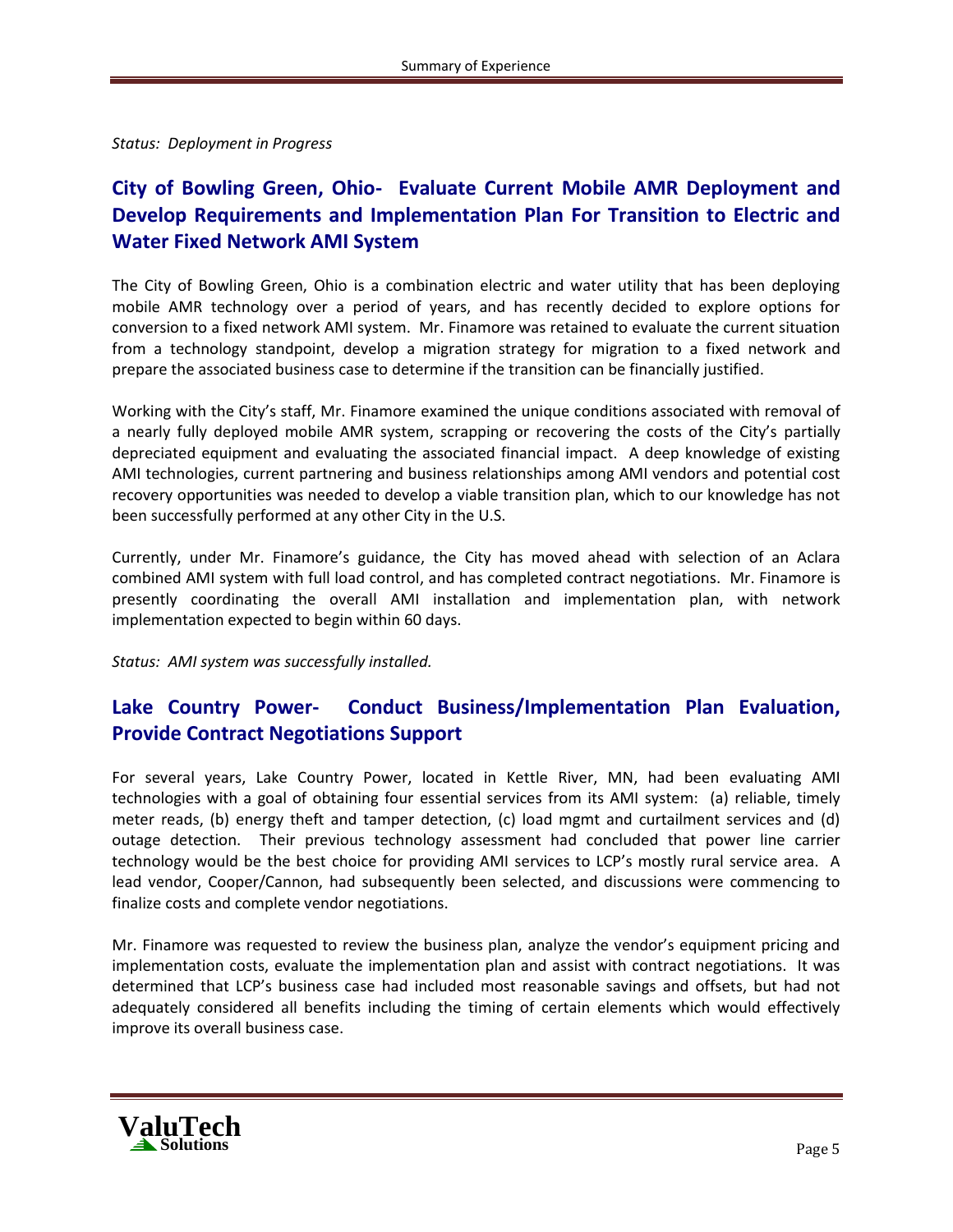*Status: Deployment in Progress*

# **City of Bowling Green, Ohio- Evaluate Current Mobile AMR Deployment and Develop Requirements and Implementation Plan For Transition to Electric and Water Fixed Network AMI System**

The City of Bowling Green, Ohio is a combination electric and water utility that has been deploying mobile AMR technology over a period of years, and has recently decided to explore options for conversion to a fixed network AMI system. Mr. Finamore was retained to evaluate the current situation from a technology standpoint, develop a migration strategy for migration to a fixed network and prepare the associated business case to determine if the transition can be financially justified.

Working with the City's staff, Mr. Finamore examined the unique conditions associated with removal of a nearly fully deployed mobile AMR system, scrapping or recovering the costs of the City's partially depreciated equipment and evaluating the associated financial impact. A deep knowledge of existing AMI technologies, current partnering and business relationships among AMI vendors and potential cost recovery opportunities was needed to develop a viable transition plan, which to our knowledge has not been successfully performed at any other City in the U.S.

Currently, under Mr. Finamore's guidance, the City has moved ahead with selection of an Aclara combined AMI system with full load control, and has completed contract negotiations. Mr. Finamore is presently coordinating the overall AMI installation and implementation plan, with network implementation expected to begin within 60 days.

*Status: AMI system was successfully installed.*

### **Lake Country Power- Conduct Business/Implementation Plan Evaluation, Provide Contract Negotiations Support**

For several years, Lake Country Power, located in Kettle River, MN, had been evaluating AMI technologies with a goal of obtaining four essential services from its AMI system: (a) reliable, timely meter reads, (b) energy theft and tamper detection, (c) load mgmt and curtailment services and (d) outage detection. Their previous technology assessment had concluded that power line carrier technology would be the best choice for providing AMI services to LCP's mostly rural service area. A lead vendor, Cooper/Cannon, had subsequently been selected, and discussions were commencing to finalize costs and complete vendor negotiations.

Mr. Finamore was requested to review the business plan, analyze the vendor's equipment pricing and implementation costs, evaluate the implementation plan and assist with contract negotiations. It was determined that LCP's business case had included most reasonable savings and offsets, but had not adequately considered all benefits including the timing of certain elements which would effectively improve its overall business case.

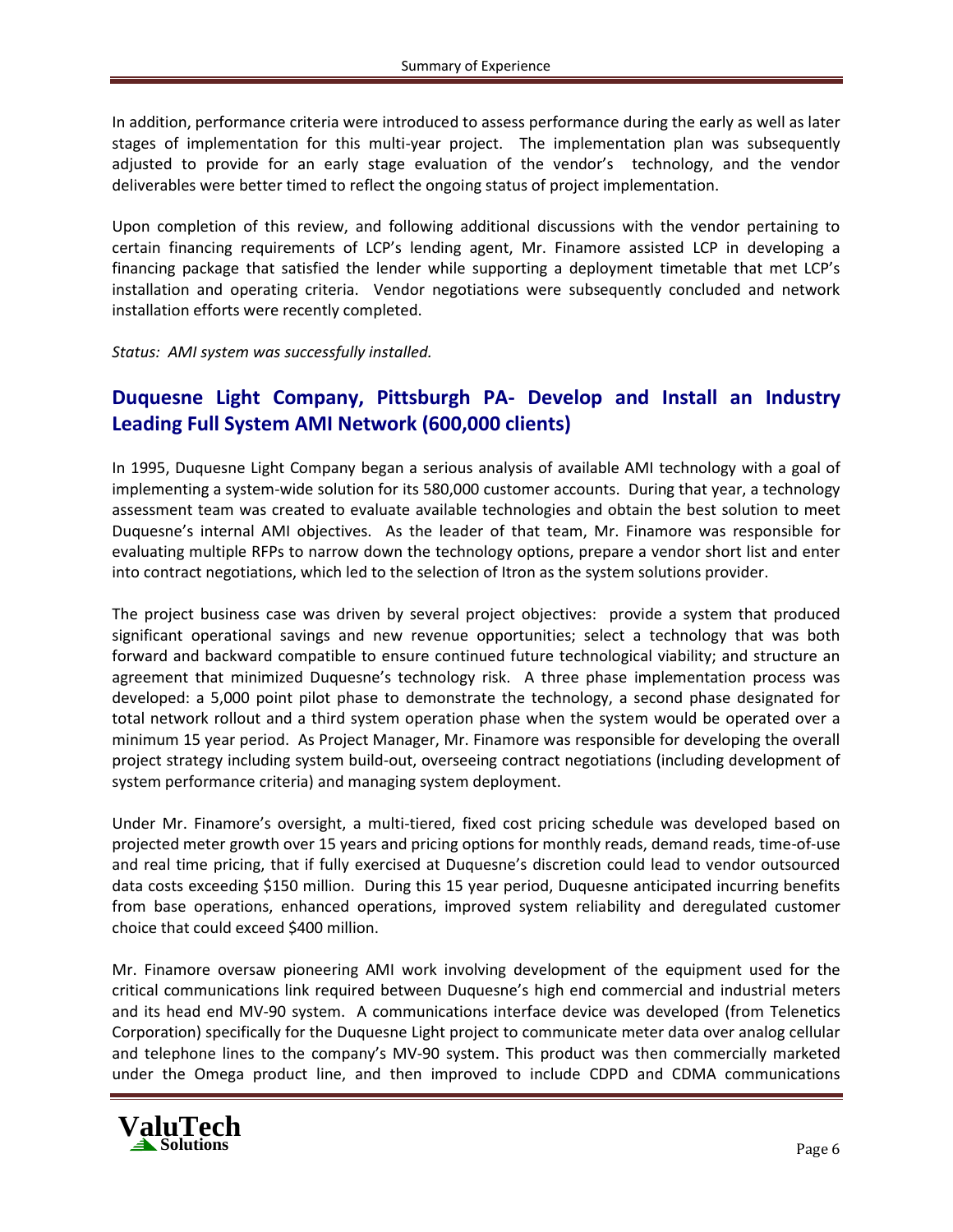In addition, performance criteria were introduced to assess performance during the early as well as later stages of implementation for this multi-year project. The implementation plan was subsequently adjusted to provide for an early stage evaluation of the vendor's technology, and the vendor deliverables were better timed to reflect the ongoing status of project implementation.

Upon completion of this review, and following additional discussions with the vendor pertaining to certain financing requirements of LCP's lending agent, Mr. Finamore assisted LCP in developing a financing package that satisfied the lender while supporting a deployment timetable that met LCP's installation and operating criteria. Vendor negotiations were subsequently concluded and network installation efforts were recently completed.

*Status: AMI system was successfully installed.*

#### **Duquesne Light Company, Pittsburgh PA- Develop and Install an Industry Leading Full System AMI Network (600,000 clients)**

In 1995, Duquesne Light Company began a serious analysis of available AMI technology with a goal of implementing a system-wide solution for its 580,000 customer accounts. During that year, a technology assessment team was created to evaluate available technologies and obtain the best solution to meet Duquesne's internal AMI objectives. As the leader of that team, Mr. Finamore was responsible for evaluating multiple RFPs to narrow down the technology options, prepare a vendor short list and enter into contract negotiations, which led to the selection of Itron as the system solutions provider.

The project business case was driven by several project objectives: provide a system that produced significant operational savings and new revenue opportunities; select a technology that was both forward and backward compatible to ensure continued future technological viability; and structure an agreement that minimized Duquesne's technology risk. A three phase implementation process was developed: a 5,000 point pilot phase to demonstrate the technology, a second phase designated for total network rollout and a third system operation phase when the system would be operated over a minimum 15 year period. As Project Manager, Mr. Finamore was responsible for developing the overall project strategy including system build-out, overseeing contract negotiations (including development of system performance criteria) and managing system deployment.

Under Mr. Finamore's oversight, a multi-tiered, fixed cost pricing schedule was developed based on projected meter growth over 15 years and pricing options for monthly reads, demand reads, time-of-use and real time pricing, that if fully exercised at Duquesne's discretion could lead to vendor outsourced data costs exceeding \$150 million. During this 15 year period, Duquesne anticipated incurring benefits from base operations, enhanced operations, improved system reliability and deregulated customer choice that could exceed \$400 million.

Mr. Finamore oversaw pioneering AMI work involving development of the equipment used for the critical communications link required between Duquesne's high end commercial and industrial meters and its head end MV-90 system. A communications interface device was developed (from Telenetics Corporation) specifically for the Duquesne Light project to communicate meter data over analog cellular and telephone lines to the company's MV-90 system. This product was then commercially marketed under the Omega product line, and then improved to include CDPD and CDMA communications